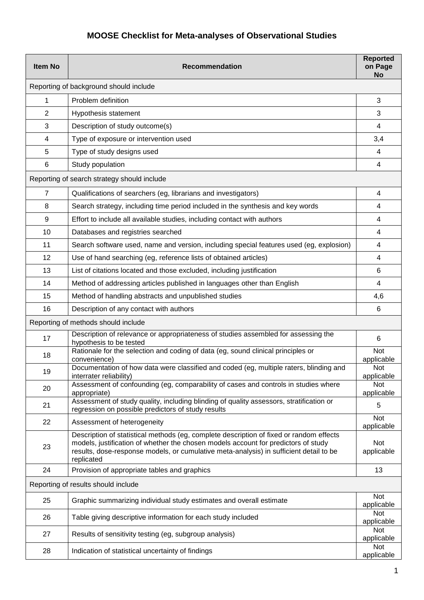## **MOOSE Checklist for Meta-analyses of Observational Studies**

| <b>Item No</b>                              | <b>Recommendation</b>                                                                                                                                                                                                                                                                 | <b>Reported</b><br>on Page<br><b>No</b> |  |
|---------------------------------------------|---------------------------------------------------------------------------------------------------------------------------------------------------------------------------------------------------------------------------------------------------------------------------------------|-----------------------------------------|--|
| Reporting of background should include      |                                                                                                                                                                                                                                                                                       |                                         |  |
| 1                                           | Problem definition                                                                                                                                                                                                                                                                    | 3                                       |  |
| 2                                           | Hypothesis statement                                                                                                                                                                                                                                                                  | 3                                       |  |
| 3                                           | Description of study outcome(s)                                                                                                                                                                                                                                                       | 4                                       |  |
| 4                                           | Type of exposure or intervention used                                                                                                                                                                                                                                                 | 3,4                                     |  |
| 5                                           | Type of study designs used                                                                                                                                                                                                                                                            | 4                                       |  |
| 6                                           | Study population                                                                                                                                                                                                                                                                      | 4                                       |  |
| Reporting of search strategy should include |                                                                                                                                                                                                                                                                                       |                                         |  |
| $\overline{7}$                              | Qualifications of searchers (eg, librarians and investigators)                                                                                                                                                                                                                        | 4                                       |  |
| 8                                           | Search strategy, including time period included in the synthesis and key words                                                                                                                                                                                                        | 4                                       |  |
| 9                                           | Effort to include all available studies, including contact with authors                                                                                                                                                                                                               | 4                                       |  |
| 10                                          | Databases and registries searched                                                                                                                                                                                                                                                     | 4                                       |  |
| 11                                          | Search software used, name and version, including special features used (eg, explosion)                                                                                                                                                                                               | 4                                       |  |
| 12                                          | Use of hand searching (eg, reference lists of obtained articles)                                                                                                                                                                                                                      | 4                                       |  |
| 13                                          | List of citations located and those excluded, including justification                                                                                                                                                                                                                 | 6                                       |  |
| 14                                          | Method of addressing articles published in languages other than English                                                                                                                                                                                                               | 4                                       |  |
| 15                                          | Method of handling abstracts and unpublished studies                                                                                                                                                                                                                                  | 4,6                                     |  |
| 16                                          | Description of any contact with authors                                                                                                                                                                                                                                               | 6                                       |  |
| Reporting of methods should include         |                                                                                                                                                                                                                                                                                       |                                         |  |
| 17                                          | Description of relevance or appropriateness of studies assembled for assessing the<br>hypothesis to be tested                                                                                                                                                                         | 6                                       |  |
| 18                                          | Rationale for the selection and coding of data (eg, sound clinical principles or<br>convenience)                                                                                                                                                                                      | Not<br>applicable                       |  |
| 19                                          | Documentation of how data were classified and coded (eg, multiple raters, blinding and<br>interrater reliability)                                                                                                                                                                     | Not<br>applicable                       |  |
| 20                                          | Assessment of confounding (eg, comparability of cases and controls in studies where<br>appropriate)                                                                                                                                                                                   | <b>Not</b><br>applicable                |  |
| 21                                          | Assessment of study quality, including blinding of quality assessors, stratification or<br>regression on possible predictors of study results                                                                                                                                         | 5                                       |  |
| 22                                          | Assessment of heterogeneity                                                                                                                                                                                                                                                           | Not<br>applicable                       |  |
| 23                                          | Description of statistical methods (eg, complete description of fixed or random effects<br>models, justification of whether the chosen models account for predictors of study<br>results, dose-response models, or cumulative meta-analysis) in sufficient detail to be<br>replicated | Not<br>applicable                       |  |
| 24                                          | Provision of appropriate tables and graphics                                                                                                                                                                                                                                          | 13                                      |  |
|                                             | Reporting of results should include                                                                                                                                                                                                                                                   |                                         |  |
| 25                                          | Graphic summarizing individual study estimates and overall estimate                                                                                                                                                                                                                   | <b>Not</b><br>applicable                |  |
| 26                                          | Table giving descriptive information for each study included                                                                                                                                                                                                                          | Not<br>applicable                       |  |
| 27                                          | Results of sensitivity testing (eg, subgroup analysis)                                                                                                                                                                                                                                | Not<br>applicable                       |  |
| 28                                          | Indication of statistical uncertainty of findings                                                                                                                                                                                                                                     | Not<br>applicable                       |  |